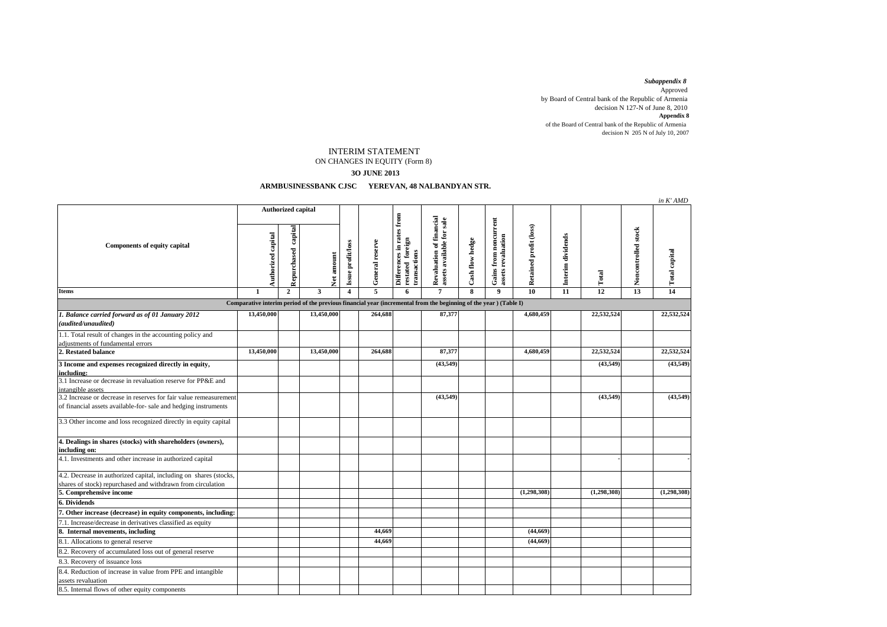decision N 127-N of June 8, 2010 by Board of Central bank of the Republic of Armenia Approved *Subappendix 8*  decision N  $205$  N of July 10, 2007 of the Board of Central bank of the Republic of Armenia **Appendix 8**

## INTERIM STATEMENT

## ON CHANGES IN EQUITY (Form 8)

## **3O JUNE 2013**

## **ARMBUSINESSBANK CJSC YEREVAN, 48 NALBANDYAN STR.**

|                                                                                                                                      |                           |                        |            |                         |                 |                                                               |                                                       |                 |                                             |                        |                   |                 |                     | in K' AMD            |
|--------------------------------------------------------------------------------------------------------------------------------------|---------------------------|------------------------|------------|-------------------------|-----------------|---------------------------------------------------------------|-------------------------------------------------------|-----------------|---------------------------------------------|------------------------|-------------------|-----------------|---------------------|----------------------|
| <b>Components of equity capital</b>                                                                                                  | <b>Authorized capital</b> |                        |            |                         |                 |                                                               |                                                       |                 |                                             |                        |                   |                 |                     |                      |
|                                                                                                                                      | Authorized capital        | capital<br>Repurchased | Net amount | Issue profit/loss       | General reserve | Differences in rates from<br>restated foreign<br>transactions | Revaluation of financial<br>assets available for sale | Cash flow hedge | Gains from noncurrent<br>assets revaluation | Retained profit (loss) | Interim dividends | Total           | Noncontrolled stock | <b>Total capital</b> |
| <b>Items</b>                                                                                                                         | 1                         | $\overline{2}$         | 3          | $\overline{\mathbf{4}}$ | 5               | 6                                                             | $\overline{7}$                                        | 8               | 9                                           | 10                     | 11                | $\overline{12}$ | 13                  | $\overline{14}$      |
| Comparative interim period of the previous financial year (incremental from the beginning of the year) (Table I)                     |                           |                        |            |                         |                 |                                                               |                                                       |                 |                                             |                        |                   |                 |                     |                      |
| 1. Balance carried forward as of 01 January 2012<br>(audited/unaudited)                                                              | 13,450,000                |                        | 13,450,000 |                         | 264,688         |                                                               | 87,377                                                |                 |                                             | 4,680,459              |                   | 22,532,524      |                     | 22,532,524           |
| 1.1. Total result of changes in the accounting policy and<br>adjustments of fundamental errors                                       |                           |                        |            |                         |                 |                                                               |                                                       |                 |                                             |                        |                   |                 |                     |                      |
| 2. Restated balance                                                                                                                  | 13,450,000                |                        | 13,450,000 |                         | 264,688         |                                                               | 87,377                                                |                 |                                             | 4,680,459              |                   | 22,532,524      |                     | 22,532,524           |
| 3 Income and expenses recognized directly in equity,<br>including:                                                                   |                           |                        |            |                         |                 |                                                               | (43, 549)                                             |                 |                                             |                        |                   | (43, 549)       |                     | (43, 549)            |
| 3.1 Increase or decrease in revaluation reserve for PP&E and<br>intangible assets                                                    |                           |                        |            |                         |                 |                                                               |                                                       |                 |                                             |                        |                   |                 |                     |                      |
| 3.2 Increase or decrease in reserves for fair value remeasurement<br>of financial assets available-for- sale and hedging instruments |                           |                        |            |                         |                 |                                                               | (43,549)                                              |                 |                                             |                        |                   | (43, 549)       |                     | (43,549)             |
| 3.3 Other income and loss recognized directly in equity capital                                                                      |                           |                        |            |                         |                 |                                                               |                                                       |                 |                                             |                        |                   |                 |                     |                      |
| 4. Dealings in shares (stocks) with shareholders (owners),<br>including on:                                                          |                           |                        |            |                         |                 |                                                               |                                                       |                 |                                             |                        |                   |                 |                     |                      |
| 4.1. Investments and other increase in authorized capital                                                                            |                           |                        |            |                         |                 |                                                               |                                                       |                 |                                             |                        |                   |                 |                     |                      |
| 4.2. Decrease in authorized capital, including on shares (stocks,<br>shares of stock) repurchased and withdrawn from circulation     |                           |                        |            |                         |                 |                                                               |                                                       |                 |                                             |                        |                   |                 |                     |                      |
| 5. Comprehensive income                                                                                                              |                           |                        |            |                         |                 |                                                               |                                                       |                 |                                             | (1,298,308)            |                   | (1,298,308)     |                     | (1,298,308)          |
| 6. Dividends                                                                                                                         |                           |                        |            |                         |                 |                                                               |                                                       |                 |                                             |                        |                   |                 |                     |                      |
| 7. Other increase (decrease) in equity components, including:                                                                        |                           |                        |            |                         |                 |                                                               |                                                       |                 |                                             |                        |                   |                 |                     |                      |
| 7.1. Increase/decrease in derivatives classified as equity                                                                           |                           |                        |            |                         |                 |                                                               |                                                       |                 |                                             |                        |                   |                 |                     |                      |
| 8. Internal movements, including                                                                                                     |                           |                        |            |                         | 44.669          |                                                               |                                                       |                 |                                             | (44, 669)              |                   |                 |                     |                      |
| 8.1. Allocations to general reserve                                                                                                  |                           |                        |            |                         | 44,669          |                                                               |                                                       |                 |                                             | (44, 669)              |                   |                 |                     |                      |
| 8.2. Recovery of accumulated loss out of general reserve                                                                             |                           |                        |            |                         |                 |                                                               |                                                       |                 |                                             |                        |                   |                 |                     |                      |
| 8.3. Recovery of issuance loss                                                                                                       |                           |                        |            |                         |                 |                                                               |                                                       |                 |                                             |                        |                   |                 |                     |                      |
| 8.4. Reduction of increase in value from PPE and intangible                                                                          |                           |                        |            |                         |                 |                                                               |                                                       |                 |                                             |                        |                   |                 |                     |                      |
| assets revaluation<br>8.5. Internal flows of other equity components                                                                 |                           |                        |            |                         |                 |                                                               |                                                       |                 |                                             |                        |                   |                 |                     |                      |